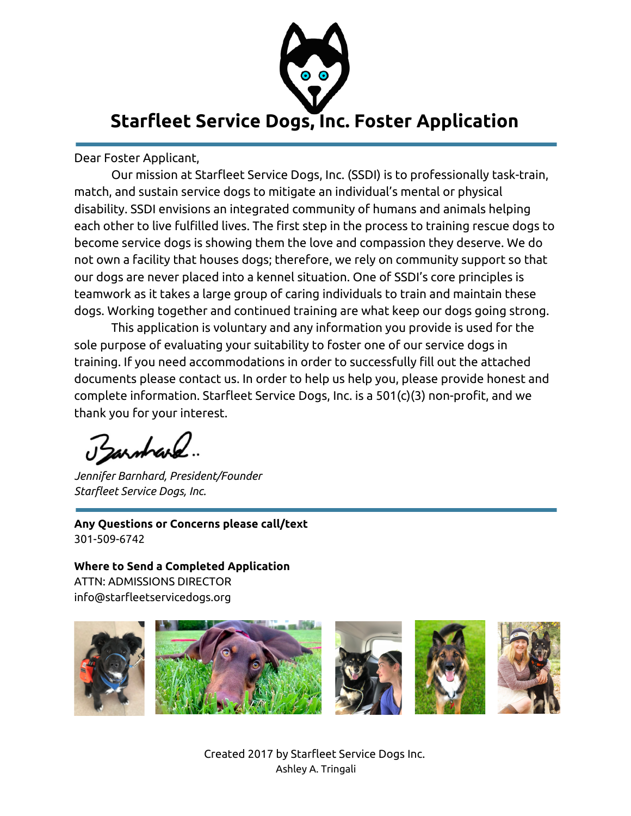

Dear Foster Applicant,

Our mission at Starfleet Service Dogs, Inc. (SSDI) is to professionally task-train, match, and sustain service dogs to mitigate an individual's mental or physical disability. SSDI envisions an integrated community of humans and animals helping each other to live fulfilled lives. The first step in the process to training rescue dogs to become service dogs is showing them the love and compassion they deserve. We do not own a facility that houses dogs; therefore, we rely on community support so that our dogs are never placed into a kennel situation. One of SSDI's core principles is teamwork as it takes a large group of caring individuals to train and maintain these dogs. Working together and continued training are what keep our dogs going strong.

This application is voluntary and any information you provide is used for the sole purpose of evaluating your suitability to foster one of our service dogs in training. If you need accommodations in order to successfully fill out the attached documents please contact us. In order to help us help you, please provide honest and complete information. Starfleet Service Dogs, Inc. is a 501(c)(3) non-profit, and we thank you for your interest.

arstvard.

*Jennifer Barnhard, President/Founder Starfleet Service Dogs, Inc.*

**Any Questions or Concerns please call/text** 301-509-6742

**Where to Send a Completed Application** ATTN: ADMISSIONS DIRECTOR info@starfleetservicedogs.org



Created 2017 by Starfleet Service Dogs Inc. Ashley A. Tringali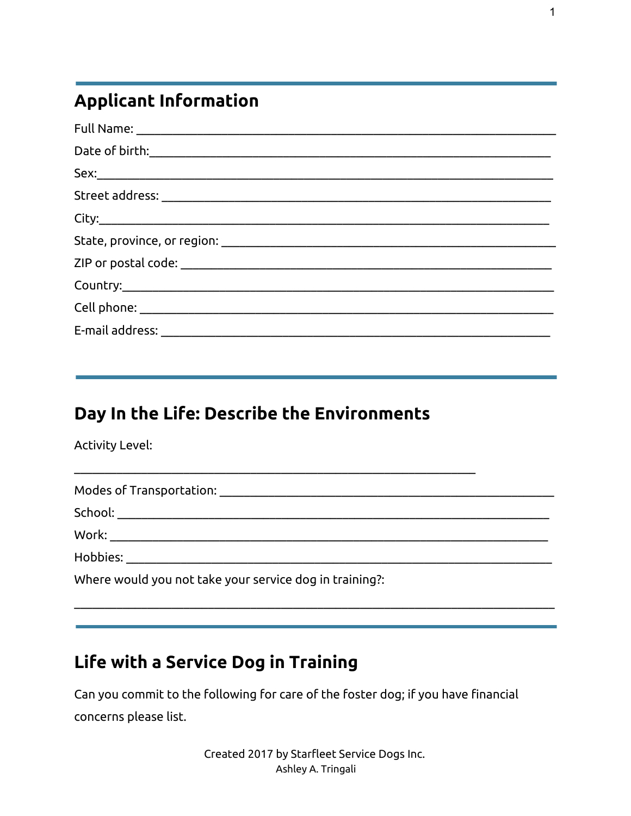# **Applicant Information**

## Day In the Life: Describe the Environments

**Activity Level:** 

| Modes of Transportation: ________                       |
|---------------------------------------------------------|
| School:                                                 |
| Work:                                                   |
| Hobbies:                                                |
| Where would you not take your service dog in training?: |

## Life with a Service Dog in Training

Can you commit to the following for care of the foster dog; if you have financial concerns please list.

> Created 2017 by Starfleet Service Dogs Inc. Ashley A. Tringali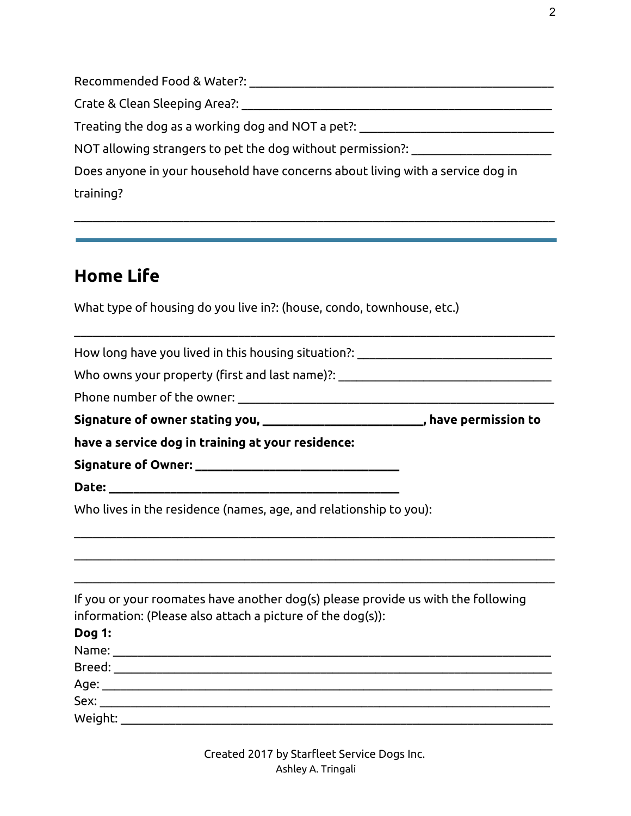Recommended Food & Water?: \_\_\_\_\_\_\_\_\_\_\_\_\_\_\_\_\_\_\_\_\_\_\_\_\_\_\_\_\_\_\_\_\_\_\_\_\_\_\_\_\_\_\_\_\_\_\_\_\_\_

Crate & Clean Sleeping Area?: \_\_\_\_\_\_\_\_\_\_\_\_\_\_\_\_\_\_\_\_\_\_\_\_\_\_\_\_\_\_\_\_\_\_\_\_\_\_\_\_\_\_\_\_\_\_\_\_\_\_\_

Treating the dog as a working dog and NOT a pet?:

NOT allowing strangers to pet the dog without permission?: \_\_\_\_\_\_\_\_\_\_\_\_\_\_\_\_\_\_\_\_\_\_\_

Does anyone in your household have concerns about living with a service dog in training?

 $\_$  , and the set of the set of the set of the set of the set of the set of the set of the set of the set of the set of the set of the set of the set of the set of the set of the set of the set of the set of the set of th

 $\_$  , and the set of the set of the set of the set of the set of the set of the set of the set of the set of the set of the set of the set of the set of the set of the set of the set of the set of the set of the set of th

## **Home Life**

What type of housing do you live in?: (house, condo, townhouse, etc.)

How long have you lived in this housing situation?: \_\_\_\_\_\_\_\_\_\_\_\_\_\_\_\_\_\_\_\_\_\_\_\_\_\_\_\_

Who owns your property (first and last name)?: \_\_\_\_\_\_\_\_\_\_\_\_\_\_\_\_\_\_\_\_\_\_\_\_\_\_\_\_\_\_\_\_\_

Phone number of the owner:

**Signature of owner stating you, \_\_\_\_\_\_\_\_\_\_\_\_\_\_\_\_\_\_\_\_\_\_\_\_\_\_, have permission to**

**have a service dog in training at your residence:**

**Signature of Owner: \_\_\_\_\_\_\_\_\_\_\_\_\_\_\_\_\_\_\_\_\_\_\_\_\_\_\_\_\_\_\_\_\_**

**Date: \_\_\_\_\_\_\_\_\_\_\_\_\_\_\_\_\_\_\_\_\_\_\_\_\_\_\_\_\_\_\_\_\_\_\_\_\_\_\_\_\_\_\_\_\_\_\_**

Who lives in the residence (names, age, and relationship to you):

If you or your roomates have another dog(s) please provide us with the following information: (Please also attach a picture of the dog(s)):

 $\_$  , and the set of the set of the set of the set of the set of the set of the set of the set of the set of the set of the set of the set of the set of the set of the set of the set of the set of the set of the set of th

 $\_$  , and the set of the set of the set of the set of the set of the set of the set of the set of the set of the set of the set of the set of the set of the set of the set of the set of the set of the set of the set of th

 $\_$  , and the set of the set of the set of the set of the set of the set of the set of the set of the set of the set of the set of the set of the set of the set of the set of the set of the set of the set of the set of th

| <b>Dog 1:</b> |  |
|---------------|--|
| Name:         |  |
| Breed:        |  |
| Age:          |  |
| Sex:          |  |
| Weight:       |  |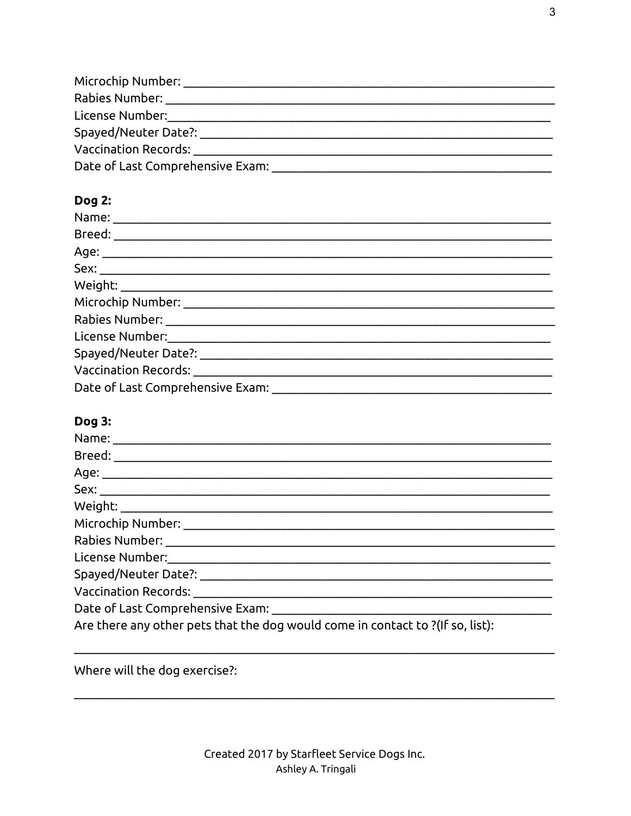| Microchip Number:                |  |
|----------------------------------|--|
| Rabies Number:                   |  |
| License Number:                  |  |
| Spayed/Neuter Date?:             |  |
| <b>Vaccination Records:</b>      |  |
| Date of Last Comprehensive Exam: |  |

#### Dog 2:

| Vaccination Records: _________________________________ |
|--------------------------------------------------------|
| Date of Last Comprehensive Exam: ___________           |

#### Dog 3:

| Are there any other pets that the dog would come in contact to ?(If so, list): |
|--------------------------------------------------------------------------------|

Where will the dog exercise?: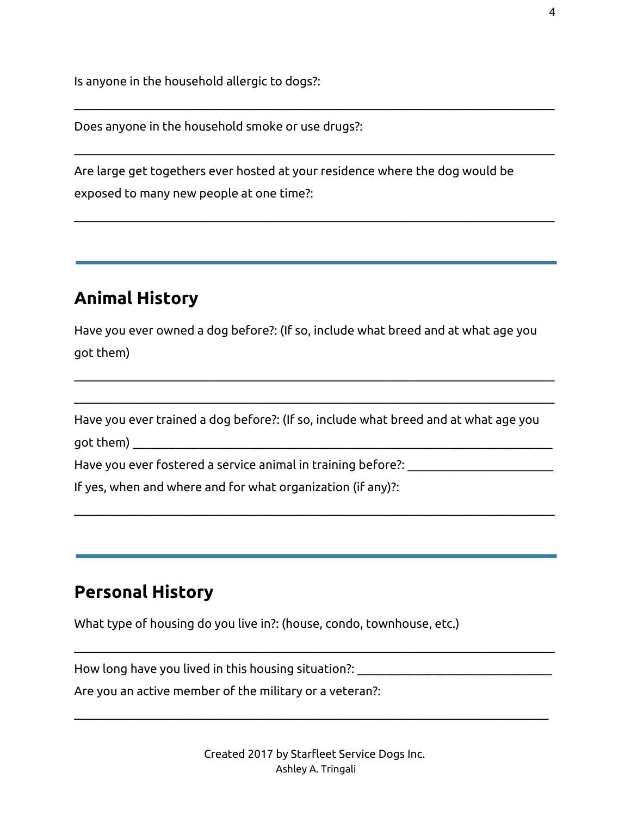Is anyone in the household allergic to dogs?:

Does anyone in the household smoke or use drugs?:

Are large get togethers ever hosted at your residence where the dog would be exposed to many new people at one time?:

 $\_$  , and the set of the set of the set of the set of the set of the set of the set of the set of the set of the set of the set of the set of the set of the set of the set of the set of the set of the set of the set of th

 $\_$  , and the set of the set of the set of the set of the set of the set of the set of the set of the set of the set of the set of the set of the set of the set of the set of the set of the set of the set of the set of th

 $\_$  , and the set of the set of the set of the set of the set of the set of the set of the set of the set of the set of the set of the set of the set of the set of the set of the set of the set of the set of the set of th

### **Animal History**

Have you ever owned a dog before?: (If so, include what breed and at what age you got them)

 $\_$  , and the set of the set of the set of the set of the set of the set of the set of the set of the set of the set of the set of the set of the set of the set of the set of the set of the set of the set of the set of th

 $\_$  , and the set of the set of the set of the set of the set of the set of the set of the set of the set of the set of the set of the set of the set of the set of the set of the set of the set of the set of the set of th

 $\_$  , and the set of the set of the set of the set of the set of the set of the set of the set of the set of the set of the set of the set of the set of the set of the set of the set of the set of the set of the set of th

Have you ever trained a dog before?: (If so, include what breed and at what age you got them) \_\_\_\_\_\_\_\_\_\_\_\_\_\_\_\_\_\_\_\_\_\_\_\_\_\_\_\_\_\_\_\_\_\_\_\_\_\_\_\_\_\_\_\_\_\_\_\_\_\_\_\_\_\_\_\_\_\_\_\_\_\_\_\_\_\_\_\_\_

Have you ever fostered a service animal in training before?: \_\_\_\_\_\_\_\_\_\_\_\_\_

If yes, when and where and for what organization (if any)?:

### **Personal History**

What type of housing do you live in?: (house, condo, townhouse, etc.)

How long have you lived in this housing situation?: \_\_\_\_\_\_\_\_\_\_\_\_\_\_\_\_\_\_\_\_\_\_\_\_\_\_\_\_

Are you an active member of the military or a veteran?:

 $\_$  , and the set of the set of the set of the set of the set of the set of the set of the set of the set of the set of the set of the set of the set of the set of the set of the set of the set of the set of the set of th

 $\_$  , and the set of the set of the set of the set of the set of the set of the set of the set of the set of the set of the set of the set of the set of the set of the set of the set of the set of the set of the set of th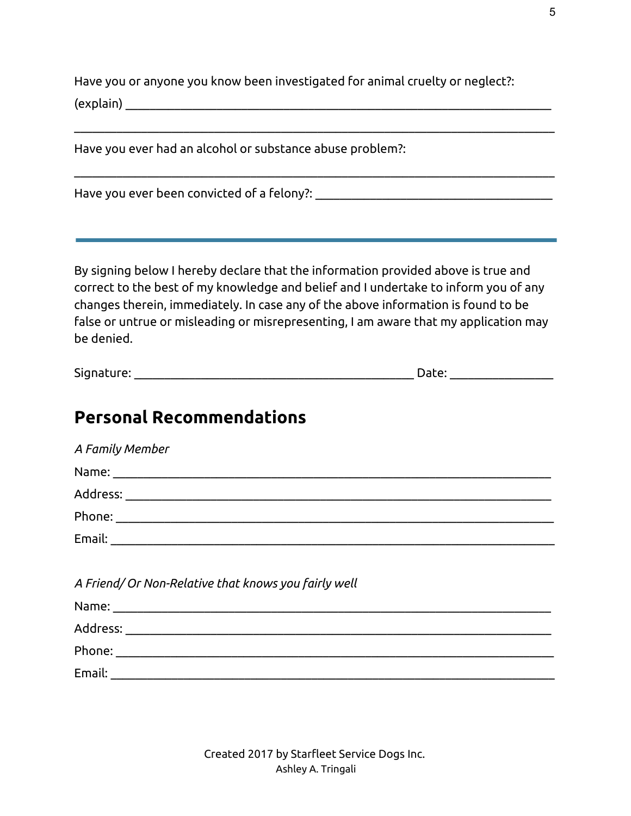Have you or anyone you know been investigated for animal cruelty or neglect?:  $(\text{explain})$ 

 $\_$  , and the set of the set of the set of the set of the set of the set of the set of the set of the set of the set of the set of the set of the set of the set of the set of the set of the set of the set of the set of th

 $\_$  , and the set of the set of the set of the set of the set of the set of the set of the set of the set of the set of the set of the set of the set of the set of the set of the set of the set of the set of the set of th

Have you ever had an alcohol or substance abuse problem?:

Have you ever been convicted of a felony?: \_\_\_\_\_\_\_\_\_\_\_\_\_\_\_\_\_\_\_\_\_\_\_\_\_\_\_\_\_\_\_\_\_\_\_\_\_\_\_

By signing below I hereby declare that the information provided above is true and correct to the best of my knowledge and belief and I undertake to inform you of any changes therein, immediately. In case any of the above information is found to be false or untrue or misleading or misrepresenting, I am aware that my application may be denied.

| <u>.</u><br>Signature: | ט גע. |  |
|------------------------|-------|--|
|                        |       |  |

### **Personal Recommendations**

| A Family Member                                                                                                |
|----------------------------------------------------------------------------------------------------------------|
| Name: Name and the second contract of the second contract of the second contract of the second contract of the |
|                                                                                                                |
|                                                                                                                |
|                                                                                                                |
|                                                                                                                |
| A Friend/ Or Non-Relative that knows you fairly well                                                           |
|                                                                                                                |
|                                                                                                                |
|                                                                                                                |
|                                                                                                                |